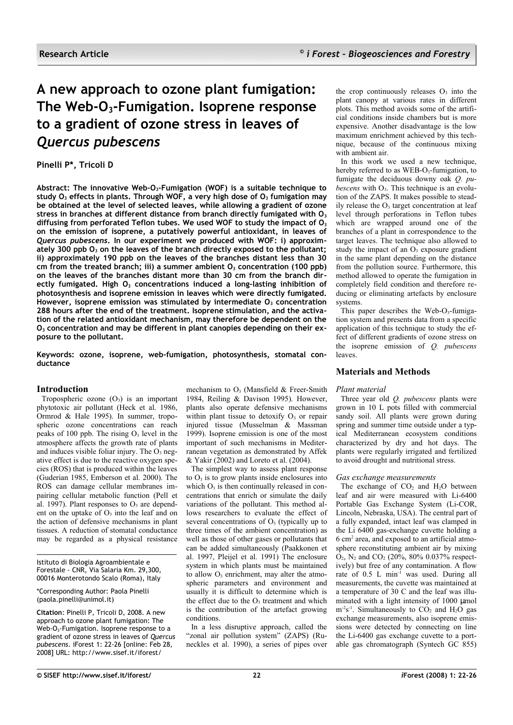# **A new approach to ozone plant fumigation: The Web-O3-Fumigation. Isoprene response to a gradient of ozone stress in leaves of** *Quercus pubescens*

# **Pinelli P\*, Tricoli D**

**Abstract: The innovative Web-O3-Fumigation (WOF) is a suitable technique to study O<sup>3</sup> effects in plants. Through WOF, a very high dose of O<sup>3</sup> fumigation may be obtained at the level of selected leaves, while allowing a gradient of ozone stress in branches at different distance from branch directly fumigated with O<sup>3</sup> diffusing from perforated Teflon tubes. We used WOF to study the impact of O<sup>3</sup> on the emission of isoprene, a putatively powerful antioxidant, in leaves of** *Quercus pubescens***. In our experiment we produced with WOF: i) approximately 300 ppb O<sup>3</sup> on the leaves of the branch directly exposed to the pollutant; ii) approximately 190 ppb on the leaves of the branches distant less than 30 cm from the treated branch; iii) a summer ambient O<sup>3</sup> concentration (100 ppb) on the leaves of the branches distant more than 30 cm from the branch directly fumigated. High O<sup>3</sup> concentrations induced a long-lasting inhibition of photosynthesis and isoprene emission in leaves which were directly fumigated. However, isoprene emission was stimulated by intermediate O<sup>3</sup> concentration 288 hours after the end of the treatment. Isoprene stimulation, and the activation of the related antioxidant mechanism, may therefore be dependent on the O3 concentration and may be different in plant canopies depending on their exposure to the pollutant.**

**Keywords: ozone, isoprene, web-fumigation, photosynthesis, stomatal conductance**

# **Introduction**

Tropospheric ozone  $(O_3)$  is an important phytotoxic air pollutant (Heck et al. 1986, Ormrod & Hale 1995). In summer, tropospheric ozone concentrations can reach peaks of 100 ppb. The rising  $O<sub>3</sub>$  level in the atmosphere affects the growth rate of plants and induces visible foliar injury. The  $O<sub>3</sub>$  negative effect is due to the reactive oxygen species (ROS) that is produced within the leaves (Guderian 1985, Emberson et al. 2000). The ROS can damage cellular membranes impairing cellular metabolic function (Pell et al. 1997). Plant responses to  $O<sub>3</sub>$  are dependent on the uptake of  $O_3$  into the leaf and on the action of defensive mechanisms in plant tissues. A reduction of stomatal conductance may be regarded as a physical resistance

Istituto di Biologia Agroambientale e Forestale - CNR, Via Salaria Km. 29,300, 00016 Monterotondo Scalo (Roma), Italy

\*Corresponding Author: Paola Pinelli (paola.pinelli@unimol.it)

**Citation**: Pinelli P, Tricoli D, 2008. A new approach to ozone plant fumigation: The Web-O3-Fumigation. Isoprene response to a gradient of ozone stress in leaves of *Quercus pubescens*. iForest 1: 22-26 [online: Feb 28, 2008] URL: http://www.sisef.it/iforest/

mechanism to  $O_3$  (Mansfield & Freer-Smith 1984, Reiling & Davison 1995). However, plants also operate defensive mechanisms within plant tissue to detoxify  $O_3$  or repair injured tissue (Musselman & Massman 1999). Isoprene emission is one of the most important of such mechanisms in Mediterranean vegetation as demonstrated by Affek & Yakir (2002) and Loreto et al. (2004).

The simplest way to assess plant response to  $O_3$  is to grow plants inside enclosures into which  $O_3$  is then continually released in concentrations that enrich or simulate the daily variations of the pollutant. This method allows researchers to evaluate the effect of several concentrations of  $O<sub>3</sub>$  (typically up to three times of the ambient concentration) as well as those of other gases or pollutants that can be added simultaneously (Paakkonen et al. 1997, Pleijel et al. 1991) The enclosure system in which plants must be maintained to allow  $O_3$  enrichment, may alter the atmospheric parameters and environment and usually it is difficult to determine which is the effect due to the  $O<sub>3</sub>$  treatment and which is the contribution of the artefact growing conditions.

In a less disruptive approach, called the "zonal air pollution system" (ZAPS) (Runeckles et al. 1990), a series of pipes over the crop continuously releases  $O<sub>3</sub>$  into the plant canopy at various rates in different plots. This method avoids some of the artificial conditions inside chambers but is more expensive. Another disadvantage is the low maximum enrichment achieved by this technique, because of the continuous mixing with ambient air.

In this work we used a new technique, hereby referred to as  $WEB-O_3$ -fumigation, to fumigate the deciduous downy oak *Q. pubescens* with  $O_3$ . This technique is an evolution of the ZAPS. It makes possible to steadily release the  $O_3$  target concentration at leaf level through perforations in Teflon tubes which are wrapped around one of the branches of a plant in correspondence to the target leaves. The technique also allowed to study the impact of an  $\overrightarrow{O_3}$  exposure gradient in the same plant depending on the distance from the pollution source. Furthermore, this method allowed to operate the fumigation in completely field condition and therefore reducing or eliminating artefacts by enclosure systems.

This paper describes the Web- $O_3$ -fumigation system and presents data from a specific application of this technique to study the effect of different gradients of ozone stress on the isoprene emission of *Q. pubescens* leaves.

# **Materials and Methods**

## *Plant material*

Three year old *Q. pubescens* plants were grown in 10 L pots filled with commercial sandy soil. All plants were grown during spring and summer time outside under a typical Mediterranean ecosystem conditions characterized by dry and hot days. The plants were regularly irrigated and fertilized to avoid drought and nutritional stress.

## *Gas exchange measurements*

The exchange of  $CO<sub>2</sub>$  and  $H<sub>2</sub>O$  between leaf and air were measured with Li-6400 Portable Gas Exchange System (Li-COR, Lincoln, Nebraska, USA). The central part of a fully expanded, intact leaf was clamped in the Li 6400 gas-exchange cuvette holding a 6 cm<sup>2</sup> area, and exposed to an artificial atmosphere reconstituting ambient air by mixing  $\overline{O}_2$ , N<sub>2</sub> and CO<sub>2</sub> (20%, 80% 0.037% respectively) but free of any contamination. A flow rate of 0.5 L min<sup>-1</sup> was used. During all measurements, the cuvette was maintained at a temperature of 30 C and the leaf was illuminated with a light intensity of 1000 µmol  $m<sup>-2</sup>s<sup>-1</sup>$ . Simultaneously to  $CO<sub>2</sub>$  and  $H<sub>2</sub>O$  gas exchange measurements, also isoprene emissions were detected by connecting on line the Li-6400 gas exchange cuvette to a portable gas chromatograph (Syntech GC 855)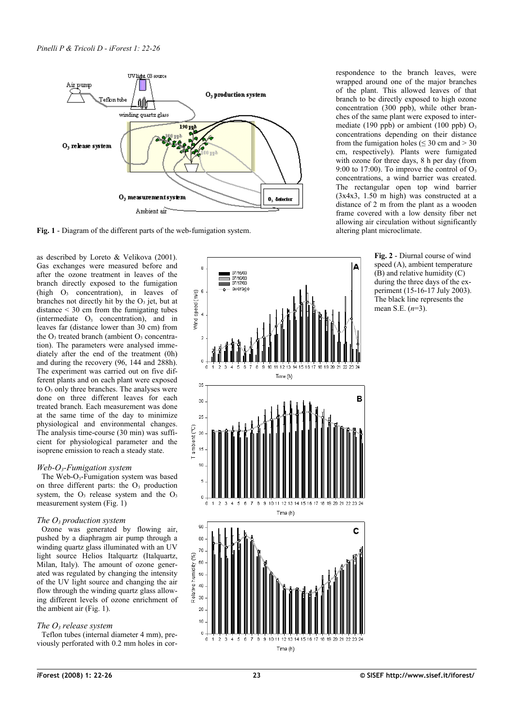

<span id="page-1-0"></span>**Fig. 1** - Diagram of the different parts of the web-fumigation system.

as described by Loreto & Velikova (2001). Gas exchanges were measured before and after the ozone treatment in leaves of the branch directly exposed to the fumigation (high  $O_3$  concentration), in leaves of branches not directly hit by the  $O<sub>3</sub>$  jet, but at distance  $\leq$  30 cm from the fumigating tubes  $(intermediate O<sub>3</sub> concentration)$ , and in leaves far (distance lower than  $30 \text{ cm}$ ) from the  $O_3$  treated branch (ambient  $O_3$  concentration). The parameters were analysed immediately after the end of the treatment (0h) and during the recovery (96, 144 and 288h). The experiment was carried out on five different plants and on each plant were exposed to  $O<sub>3</sub>$  only three branches. The analyses were done on three different leaves for each treated branch. Each measurement was done at the same time of the day to minimize physiological and environmental changes. The analysis time-course (30 min) was sufficient for physiological parameter and the isoprene emission to reach a steady state.

## *Web-O3-Fumigation system*

The Web-O<sub>3</sub>-Fumigation system was based on three different parts: the  $O<sub>3</sub>$  production system, the  $O_3$  release system and the  $O_3$ measurement system [\(Fig. 1\)](#page-1-0)

# *The O3 production system*

Ozone was generated by flowing air, pushed by a diaphragm air pump through a winding quartz glass illuminated with an UV light source Helios Italquartz (Italquartz, Milan, Italy). The amount of ozone generated was regulated by changing the intensity of the UV light source and changing the air flow through the winding quartz glass allowing different levels of ozone enrichment of the ambient air [\(Fig.](#page-1-0) 1).

# *The O3 release system*

Teflon tubes (internal diameter 4 mm), previously perforated with 0.2 mm holes in cor-



respondence to the branch leaves, were wrapped around one of the major branches of the plant. This allowed leaves of that branch to be directly exposed to high ozone concentration (300 ppb), while other branches of the same plant were exposed to intermediate (190 ppb) or ambient (100 ppb)  $O_3$ concentrations depending on their distance from the fumigation holes ( $\leq$  30 cm and  $>$  30 cm, respectively). Plants were fumigated with ozone for three days, 8 h per day (from 9:00 to 17:00). To improve the control of  $O_3$ concentrations, a wind barrier was created. The rectangular open top wind barrier  $(3x4x3, 1.50 \text{ m high})$  was constructed at a distance of 2 m from the plant as a wooden frame covered with a low density fiber net allowing air circulation without significantly altering plant microclimate.

> <span id="page-1-1"></span>**Fig. 2** - Diurnal course of wind speed (A), ambient temperature  $(B)$  and relative humidity  $(C)$ during the three days of the experiment (15-16-17 July 2003). The black line represents the mean S.E. (*n*=3).

Time (h)

 $_{20}$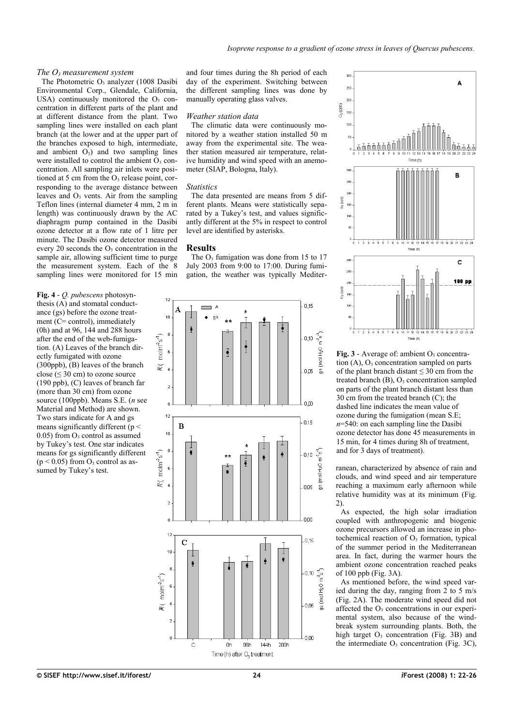#### *The O3 measurement system*

The Photometric  $O_3$  analyzer (1008 Dasibi Environmental Corp., Glendale, California, USA) continuously monitored the  $O<sub>3</sub>$  concentration in different parts of the plant and at different distance from the plant. Two sampling lines were installed on each plant branch (at the lower and at the upper part of the branches exposed to high, intermediate, and ambient  $O_3$ ) and two sampling lines were installed to control the ambient  $\dot{O}_3$  concentration. All sampling air inlets were positioned at 5 cm from the  $O_3$  release point, corresponding to the average distance between leaves and  $O_3$  vents. Air from the sampling Teflon lines (internal diameter 4 mm, 2 m in length) was continuously drawn by the AC diaphragm pump contained in the Dasibi ozone detector at a flow rate of 1 litre per minute. The Dasibi ozone detector measured every 20 seconds the  $O<sub>3</sub>$  concentration in the sample air, allowing sufficient time to purge the measurement system. Each of the 8 sampling lines were monitored for 15 min

<span id="page-2-1"></span>**Fig. 4** - *Q. pubescens* photosynthesis (A) and stomatal conductance (gs) before the ozone treatment (C= control), immediately (0h) and at 96, 144 and 288 hours after the end of the web-fumigation. (A) Leaves of the branch directly fumigated with ozone (300ppb), (B) leaves of the branch close ( $\leq$  30 cm) to ozone source (190 ppb), (C) leaves of branch far (more than 30 cm) from ozone source (100ppb). Means S.E. (*n* see Material and Method) are shown. Two stars indicate for A and gs means significantly different ( $p <$  $0.05$ ) from  $O_3$  control as assumed by Tukey's test. One star indicates means for gs significantly different  $(p < 0.05)$  from  $O_3$  control as assumed by Tukey's test.

and four times during the 8h period of each day of the experiment. Switching between the different sampling lines was done by manually operating glass valves.

#### *Weather station data*

The climatic data were continuously monitored by a weather station installed 50 m away from the experimental site. The weather station measured air temperature, relative humidity and wind speed with an anemometer (SIAP, Bologna, Italy).

#### *Statistics*

The data presented are means from 5 different plants. Means were statistically separated by a Tukey's test, and values significantly different at the 5% in respect to control level are identified by asterisks.

## **Results**

The  $O_3$  fumigation was done from 15 to 17 July 2003 from 9:00 to 17:00. During fumigation, the weather was typically Mediter-





<span id="page-2-0"></span>Fig. 3 - Average of: ambient O<sub>3</sub> concentration  $(A)$ ,  $O_3$  concentration sampled on parts of the plant branch distant  $\leq 30$  cm from the treated branch  $(B)$ ,  $O_3$  concentration sampled on parts of the plant branch distant less than 30 cm from the treated branch (C); the dashed line indicates the mean value of ozone during the fumigation (mean S.E; *n*=540: on each sampling line the Dasibi ozone detector has done 45 measurements in 15 min, for 4 times during 8h of treatment, and for 3 days of treatment).

ranean, characterized by absence of rain and clouds, and wind speed and air temperature reaching a maximum early afternoon while relative humidity was at its minimum [\(Fig.](#page-1-1) [2\)](#page-1-1).

As expected, the high solar irradiation coupled with anthropogenic and biogenic ozone precursors allowed an increase in photochemical reaction of  $O<sub>3</sub>$  formation, typical of the summer period in the Mediterranean area. In fact, during the warmer hours the ambient ozone concentration reached peaks of 100 ppb [\(Fig. 3A](#page-2-0)).

As mentioned before, the wind speed varied during the day, ranging from 2 to 5 m/s [\(Fig.](#page-1-1) 2A). The moderate wind speed did not affected the  $O<sub>3</sub>$  concentrations in our experimental system, also because of the windbreak system surrounding plants. Both, the high target  $O_3$  concentration [\(Fig.](#page-2-0) 3B) and the intermediate  $O_3$  concentration [\(Fig.](#page-2-0) 3C),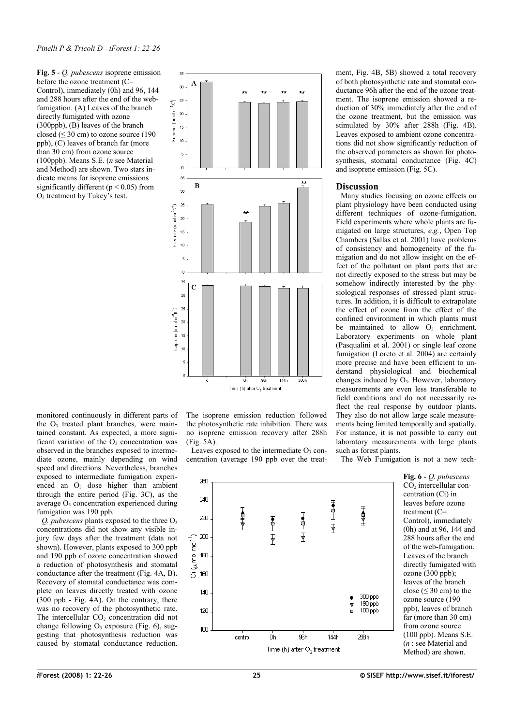<span id="page-3-0"></span>**Fig. 5** - *Q. pubescens* isoprene emission before the ozone treatment (C= Control), immediately (0h) and 96, 144 and 288 hours after the end of the webfumigation. (A) Leaves of the branch directly fumigated with ozone (300ppb), (B) leaves of the branch closed ( $\leq$  30 cm) to ozone source (190 ppb), (C) leaves of branch far (more than 30 cm) from ozone source (100ppb). Means S.E. (*n* see Material and Method) are shown. Two stars indicate means for isoprene emissions significantly different ( $p < 0.05$ ) from O3 treatment by Tukey's test.



monitored continuously in different parts of the O<sub>3</sub> treated plant branches, were maintained constant. As expected, a more significant variation of the  $O_3$  concentration was observed in the branches exposed to intermediate ozone, mainly depending on wind speed and directions. Nevertheless, branches exposed to intermediate fumigation experienced an  $O<sub>3</sub>$  dose higher than ambient through the entire period [\(Fig.](#page-2-0) 3C), as the average  $O<sub>3</sub>$  concentration experienced during fumigation was 190 ppb.

*Q. pubescens* plants exposed to the three O<sub>3</sub> concentrations did not show any visible injury few days after the treatment (data not shown). However, plants exposed to 300 ppb and 190 ppb of ozone concentration showed a reduction of photosynthesis and stomatal conductance after the treatment (Fig. 4A, B). Recovery of stomatal conductance was complete on leaves directly treated with ozone (300 ppb - [Fig.](#page-2-1) 4A). On the contrary, there was no recovery of the photosynthetic rate. The intercellular  $CO<sub>2</sub>$  concentration did not change following  $O_3$  exposure [\(Fig.](#page-3-1) 6), suggesting that photosynthesis reduction was caused by stomatal conductance reduction.

The isoprene emission reduction followed the photosynthetic rate inhibition. There was no isoprene emission recovery after 288h [\(Fig.](#page-3-0) 5A).

Leaves exposed to the intermediate  $O_3$  concentration (average 190 ppb over the treatment, [Fig.](#page-2-1) 4B, 5B) showed a total recovery of both photosynthetic rate and stomatal conductance 96h after the end of the ozone treatment. The isoprene emission showed a reduction of 30% immediately after the end of the ozone treatment, but the emission was stimulated by 30% after 288h [\(Fig.](#page-2-1) 4B). Leaves exposed to ambient ozone concentrations did not show significantly reduction of the observed parameters as shown for photosynthesis, stomatal conductance [\(Fig.](#page-2-1) 4C) and isoprene emission [\(Fig.](#page-3-0) 5C).

## **Discussion**

Many studies focusing on ozone effects on plant physiology have been conducted using different techniques of ozone-fumigation. Field experiments where whole plants are fumigated on large structures, *e.g.*, Open Top Chambers (Sallas et al. 2001) have problems of consistency and homogeneity of the fumigation and do not allow insight on the effect of the pollutant on plant parts that are not directly exposed to the stress but may be somehow indirectly interested by the physiological responses of stressed plant structures. In addition, it is difficult to extrapolate the effect of ozone from the effect of the confined environment in which plants must be maintained to allow  $O_3$  enrichment. Laboratory experiments on whole plant (Pasqualini et al. 2001) or single leaf ozone fumigation (Loreto et al. 2004) are certainly more precise and have been efficient to understand physiological and biochemical changes induced by  $O_3$ . However, laboratory measurements are even less transferable to field conditions and do not necessarily reflect the real response by outdoor plants. They also do not allow large scale measurements being limited temporally and spatially. For instance, it is not possible to carry out laboratory measurements with large plants such as forest plants.

The Web Fumigation is not a new tech-

 $250$  $240$ 重工工 于皇 Ⅰ●半マ 220 ┪┓┸┰ 香土丁  $200$ ് (പ്രസം mol<sup>-1</sup>) 180 160  $140$ 300 ppb  $190$  ppb  $\overline{\mathbf{v}}$  $120$ Á  $100$  ppb  $100<sub>1</sub>$  $144h$  $28h$ nh 9ŝh control Time (h) after O<sub>2</sub> treatment

<span id="page-3-1"></span>**Fig. 6** - *Q. pubescens* CO<sup>2</sup> intercellular concentration (Ci) in leaves before ozone treatment (C= Control), immediately (0h) and at 96, 144 and 288 hours after the end of the web-fumigation. Leaves of the branch directly fumigated with ozone (300 ppb); leaves of the branch close ( $\leq 30$  cm) to the ozone source (190 ppb), leaves of branch far (more than 30 cm) from ozone source (100 ppb). Means S.E. (*n* : see Material and Method) are shown.